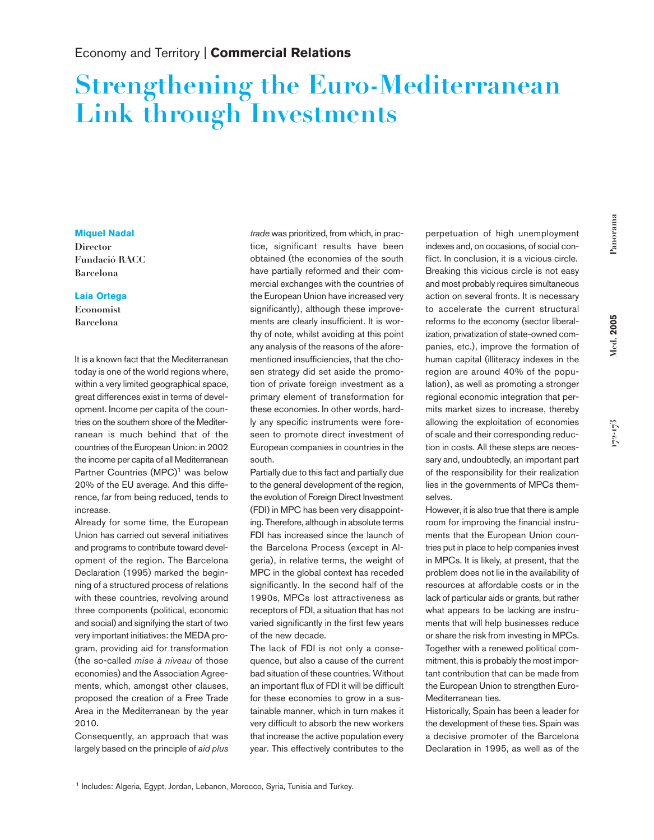## Economy and Territory | **Commercial Relations**

## **Strengthening the Euro-Mediterranean Link through Investments**

## **Miquel Nadal**

**Director Fundació RACC Barcelona**

## **Laia Ortega**

**Economist Barcelona**

It is a known fact that the Mediterranean today is one of the world regions where, within a very limited geographical space, great differences exist in terms of development. Income per capita of the countries on the southern shore of the Mediterranean is much behind that of the countries of the European Union: in 2002 the income per capita of all Mediterranean Partner Countries (MPC)<sup>1</sup> was below 20% of the EU average. And this difference, far from being reduced, tends to increase.

Already for some time, the European Union has carried out several initiatives and programs to contribute toward development of the region. The Barcelona Declaration (1995) marked the beginning of a structured process of relations with these countries, revolving around three components (political, economic and social) and signifying the start of two very important initiatives: the MEDA program, providing aid for transformation (the so-called *mise à niveau* of those economies) and the Association Agreements, which, amongst other clauses, proposed the creation of a Free Trade Area in the Mediterranean by the year 2010.

Consequently, an approach that was largely based on the principle of *aid plus*

*trade* was prioritized, from which, in practice, significant results have been obtained (the economies of the south have partially reformed and their commercial exchanges with the countries of the European Union have increased very significantly), although these improvements are clearly insufficient. It is worthy of note, whilst avoiding at this point any analysis of the reasons of the aforementioned insufficiencies, that the chosen strategy did set aside the promotion of private foreign investment as a primary element of transformation for these economies. In other words, hardly any specific instruments were foreseen to promote direct investment of European companies in countries in the south.

Partially due to this fact and partially due to the general development of the region, the evolution of Foreign Direct Investment (FDI) in MPC has been very disappointing. Therefore, although in absolute terms FDI has increased since the launch of the Barcelona Process (except in Algeria), in relative terms, the weight of MPC in the global context has receded significantly. In the second half of the 1990s, MPCs lost attractiveness as receptors of FDI, a situation that has not varied significantly in the first few years of the new decade.

The lack of FDI is not only a consequence, but also a cause of the current bad situation of these countries. Without an important flux of FDI it will be difficult for these economies to grow in a sustainable manner, which in turn makes it very difficult to absorb the new workers that increase the active population every year. This effectively contributes to the perpetuation of high unemployment indexes and, on occasions, of social conflict. In conclusion, it is a vicious circle. Breaking this vicious circle is not easy and most probably requires simultaneous action on several fronts. It is necessary to accelerate the current structural reforms to the economy (sector liberalization, privatization of state-owned companies, etc.), improve the formation of human capital (illiteracy indexes in the region are around 40% of the population), as well as promoting a stronger regional economic integration that permits market sizes to increase, thereby allowing the exploitation of economies of scale and their corresponding reduction in costs. All these steps are necessary and, undoubtedly, an important part of the responsibility for their realization lies in the governments of MPCs themselves.

However, it is also true that there is ample room for improving the financial instruments that the European Union countries put in place to help companies invest in MPCs. It is likely, at present, that the problem does not lie in the availability of resources at affordable costs or in the lack of particular aids or grants, but rather what appears to be lacking are instruments that will help businesses reduce or share the risk from investing in MPCs. Together with a renewed political commitment, this is probably the most important contribution that can be made from the European Union to strengthen Euro-Mediterranean ties.

Historically, Spain has been a leader for the development of these ties. Spain was a decisive promoter of the Barcelona Declaration in 1995, as well as of the